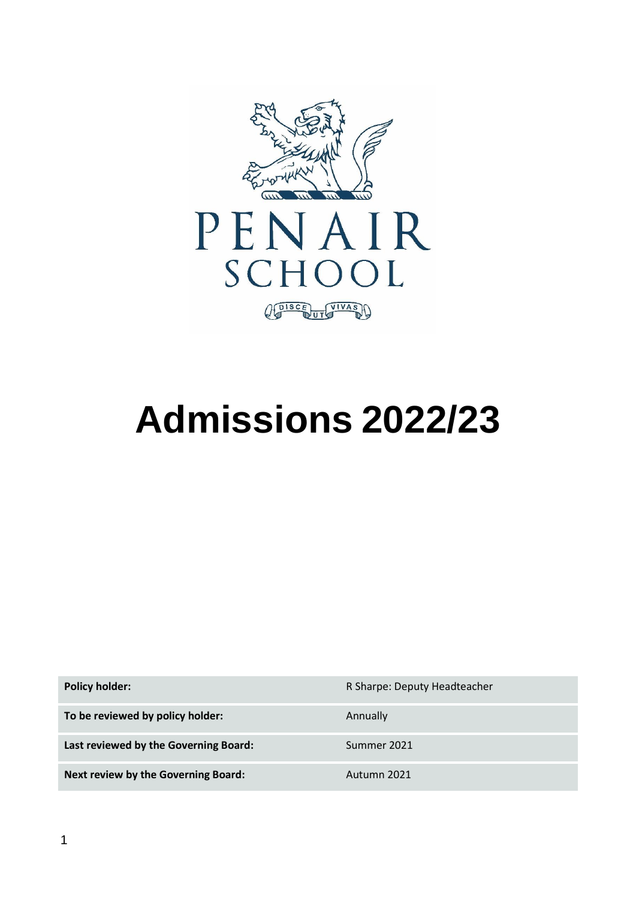

# **Admissions 2022/23**

**Policy holder:** R Sharpe: Deputy Headteacher **To be reviewed by policy holder:** Annually Last reviewed by the Governing Board: Summer 2021 **Next review by the Governing Board:** Autumn 2021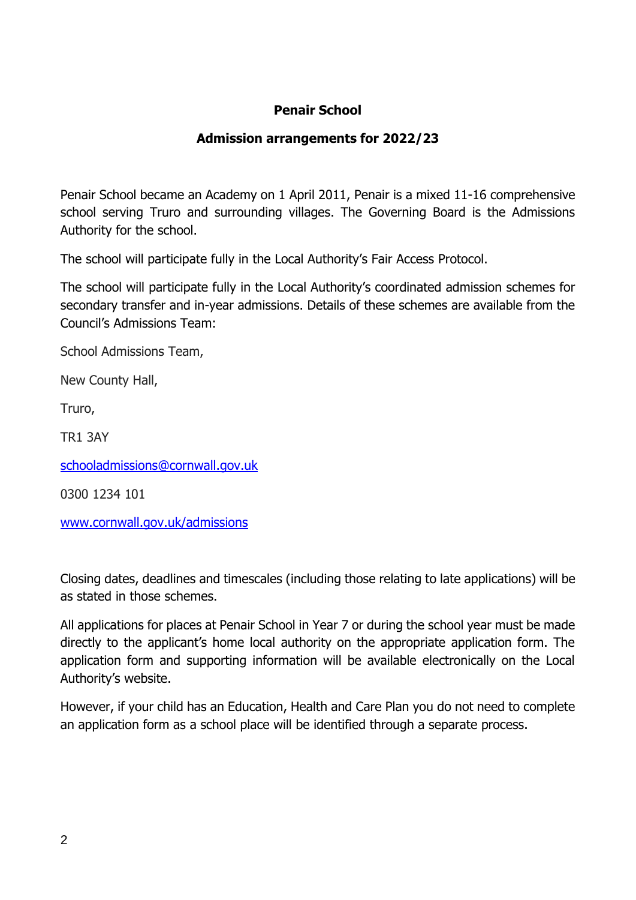# **Penair School**

## **Admission arrangements for 2022/23**

Penair School became an Academy on 1 April 2011, Penair is a mixed 11-16 comprehensive school serving Truro and surrounding villages. The Governing Board is the Admissions Authority for the school.

The school will participate fully in the Local Authority's Fair Access Protocol.

The school will participate fully in the Local Authority's coordinated admission schemes for secondary transfer and in-year admissions. Details of these schemes are available from the Council's Admissions Team:

School Admissions Team,

New County Hall,

Truro,

TR1 3AY

[schooladmissions@cornwall.gov.uk](mailto:schooladmissions@cornwall.gov.uk)

0300 1234 101

[www.cornwall.gov.uk/admissions](http://www.cornwall.gov.uk/admissions)

Closing dates, deadlines and timescales (including those relating to late applications) will be as stated in those schemes.

All applications for places at Penair School in Year 7 or during the school year must be made directly to the applicant's home local authority on the appropriate application form. The application form and supporting information will be available electronically on the Local Authority's website.

However, if your child has an Education, Health and Care Plan you do not need to complete an application form as a school place will be identified through a separate process.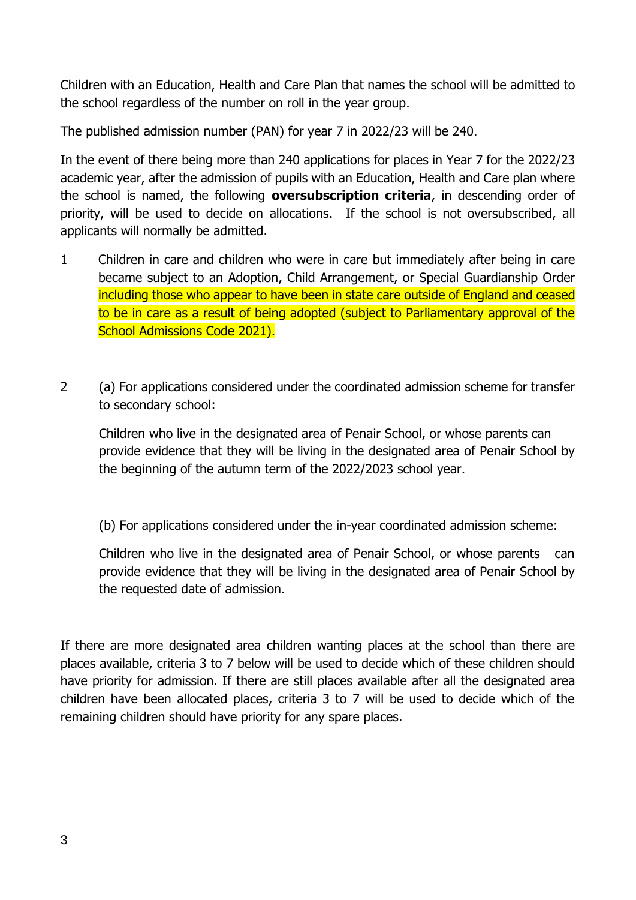Children with an Education, Health and Care Plan that names the school will be admitted to the school regardless of the number on roll in the year group.

The published admission number (PAN) for year 7 in 2022/23 will be 240.

In the event of there being more than 240 applications for places in Year 7 for the 2022/23 academic year, after the admission of pupils with an Education, Health and Care plan where the school is named, the following **oversubscription criteria**, in descending order of priority, will be used to decide on allocations. If the school is not oversubscribed, all applicants will normally be admitted.

- 1 Children in care and children who were in care but immediately after being in care became subject to an Adoption, Child Arrangement, or Special Guardianship Order including those who appear to have been in state care outside of England and ceased to be in care as a result of being adopted (subject to Parliamentary approval of the School Admissions Code 2021).
- 2 (a) For applications considered under the coordinated admission scheme for transfer to secondary school:

Children who live in the designated area of Penair School, or whose parents can provide evidence that they will be living in the designated area of Penair School by the beginning of the autumn term of the 2022/2023 school year.

(b) For applications considered under the in-year coordinated admission scheme:

Children who live in the designated area of Penair School, or whose parents can provide evidence that they will be living in the designated area of Penair School by the requested date of admission.

If there are more designated area children wanting places at the school than there are places available, criteria 3 to 7 below will be used to decide which of these children should have priority for admission. If there are still places available after all the designated area children have been allocated places, criteria 3 to 7 will be used to decide which of the remaining children should have priority for any spare places.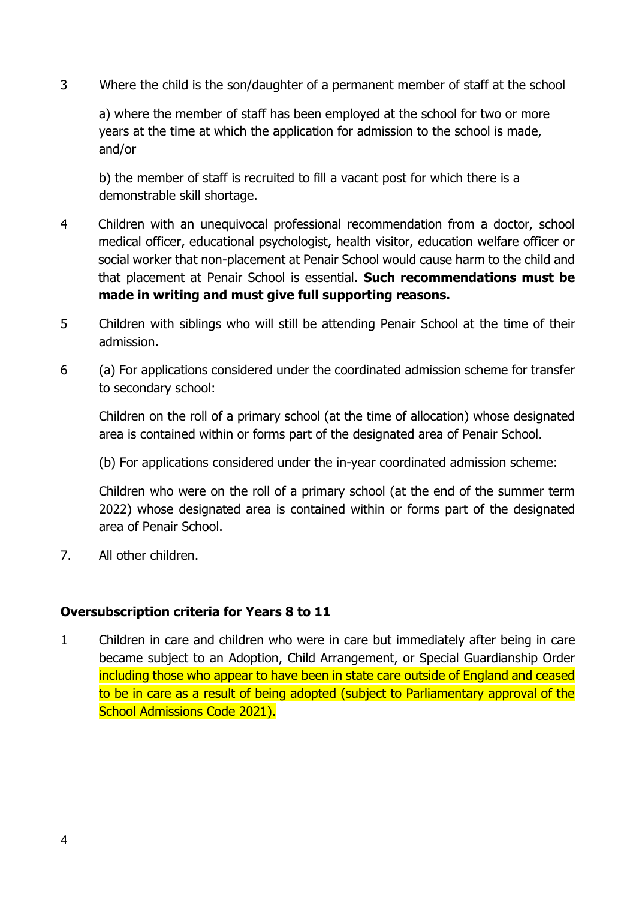3 Where the child is the son/daughter of a permanent member of staff at the school

a) where the member of staff has been employed at the school for two or more years at the time at which the application for admission to the school is made, and/or

b) the member of staff is recruited to fill a vacant post for which there is a demonstrable skill shortage.

- 4 Children with an unequivocal professional recommendation from a doctor, school medical officer, educational psychologist, health visitor, education welfare officer or social worker that non-placement at Penair School would cause harm to the child and that placement at Penair School is essential. **Such recommendations must be made in writing and must give full supporting reasons.**
- 5 Children with siblings who will still be attending Penair School at the time of their admission.
- 6 (a) For applications considered under the coordinated admission scheme for transfer to secondary school:

Children on the roll of a primary school (at the time of allocation) whose designated area is contained within or forms part of the designated area of Penair School.

(b) For applications considered under the in-year coordinated admission scheme:

Children who were on the roll of a primary school (at the end of the summer term 2022) whose designated area is contained within or forms part of the designated area of Penair School.

7. All other children.

#### **Oversubscription criteria for Years 8 to 11**

1 Children in care and children who were in care but immediately after being in care became subject to an Adoption, Child Arrangement, or Special Guardianship Order including those who appear to have been in state care outside of England and ceased to be in care as a result of being adopted (subject to Parliamentary approval of the School Admissions Code 2021).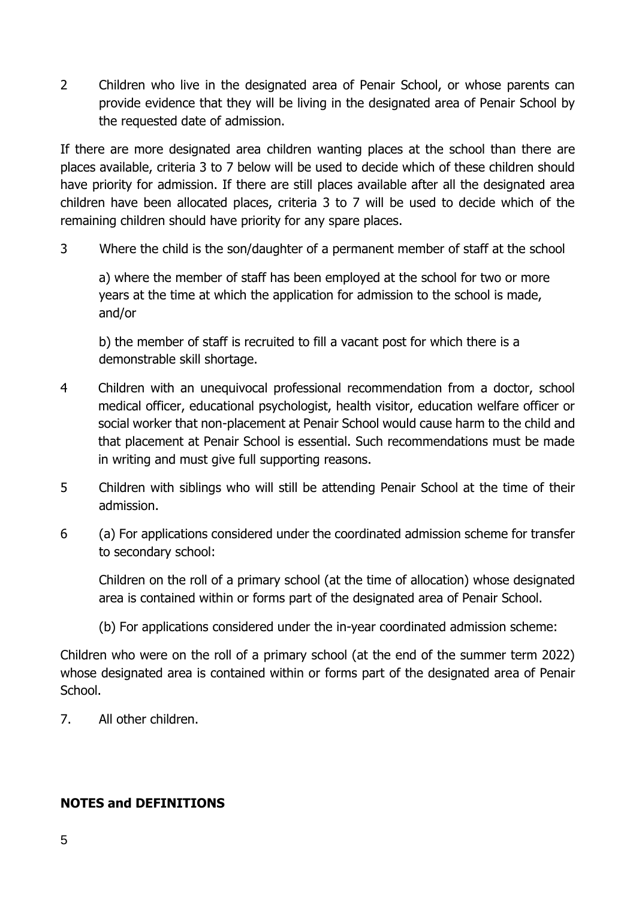2 Children who live in the designated area of Penair School, or whose parents can provide evidence that they will be living in the designated area of Penair School by the requested date of admission.

If there are more designated area children wanting places at the school than there are places available, criteria 3 to 7 below will be used to decide which of these children should have priority for admission. If there are still places available after all the designated area children have been allocated places, criteria 3 to 7 will be used to decide which of the remaining children should have priority for any spare places.

3 Where the child is the son/daughter of a permanent member of staff at the school

a) where the member of staff has been employed at the school for two or more years at the time at which the application for admission to the school is made, and/or

b) the member of staff is recruited to fill a vacant post for which there is a demonstrable skill shortage.

- 4 Children with an unequivocal professional recommendation from a doctor, school medical officer, educational psychologist, health visitor, education welfare officer or social worker that non-placement at Penair School would cause harm to the child and that placement at Penair School is essential. Such recommendations must be made in writing and must give full supporting reasons.
- 5 Children with siblings who will still be attending Penair School at the time of their admission.
- 6 (a) For applications considered under the coordinated admission scheme for transfer to secondary school:

Children on the roll of a primary school (at the time of allocation) whose designated area is contained within or forms part of the designated area of Penair School.

(b) For applications considered under the in-year coordinated admission scheme:

Children who were on the roll of a primary school (at the end of the summer term 2022) whose designated area is contained within or forms part of the designated area of Penair School.

7. All other children.

## **NOTES and DEFINITIONS**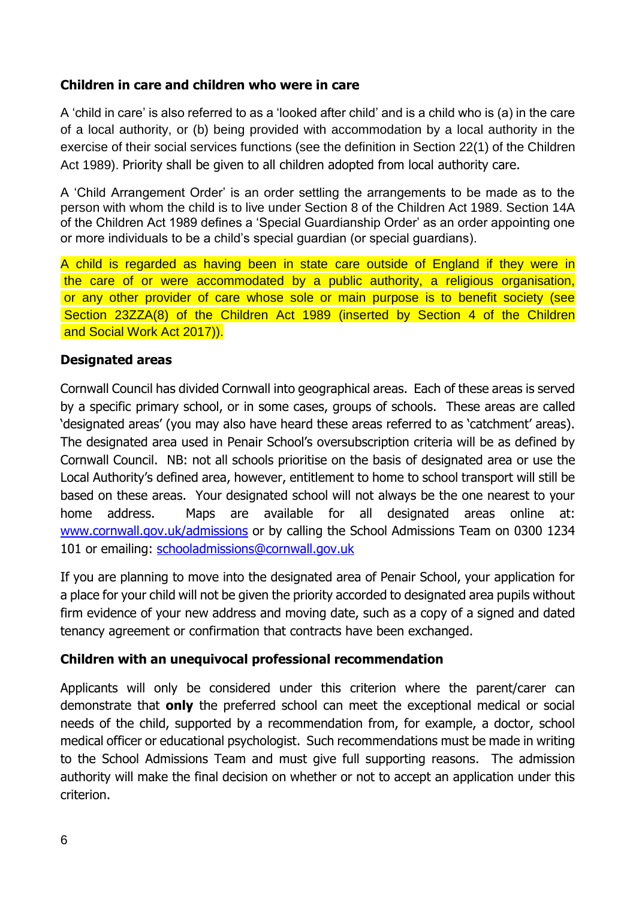### **Children in care and children who were in care**

A 'child in care' is also referred to as a 'looked after child' and is a child who is (a) in the care of a local authority, or (b) being provided with accommodation by a local authority in the exercise of their social services functions (see the definition in Section 22(1) of the Children Act 1989). Priority shall be given to all children adopted from local authority care.

A 'Child Arrangement Order' is an order settling the arrangements to be made as to the person with whom the child is to live under Section 8 of the Children Act 1989. Section 14A of the Children Act 1989 defines a 'Special Guardianship Order' as an order appointing one or more individuals to be a child's special guardian (or special guardians).

A child is regarded as having been in state care outside of England if they were in the care of or were accommodated by a public authority, a religious organisation, or any other provider of care whose sole or main purpose is to benefit society (see Section 23ZZA(8) of the Children Act 1989 (inserted by Section 4 of the Children and Social Work Act 2017)).

#### **Designated areas**

Cornwall Council has divided Cornwall into geographical areas. Each of these areas is served by a specific primary school, or in some cases, groups of schools. These areas are called 'designated areas' (you may also have heard these areas referred to as 'catchment' areas). The designated area used in Penair School's oversubscription criteria will be as defined by Cornwall Council. NB: not all schools prioritise on the basis of designated area or use the Local Authority's defined area, however, entitlement to home to school transport will still be based on these areas. Your designated school will not always be the one nearest to your home address. Maps are available for all designated areas online at: www.cornwall.gov.uk/admissions or by calling the School Admissions Team on 0300 1234 101 or emailing: schooladmissions@cornwall.gov.uk

If you are planning to move into the designated area of Penair School, your application for a place for your child will not be given the priority accorded to designated area pupils without firm evidence of your new address and moving date, such as a copy of a signed and dated tenancy agreement or confirmation that contracts have been exchanged.

#### **Children with an unequivocal professional recommendation**

Applicants will only be considered under this criterion where the parent/carer can demonstrate that **only** the preferred school can meet the exceptional medical or social needs of the child, supported by a recommendation from, for example, a doctor, school medical officer or educational psychologist. Such recommendations must be made in writing to the School Admissions Team and must give full supporting reasons. The admission authority will make the final decision on whether or not to accept an application under this criterion.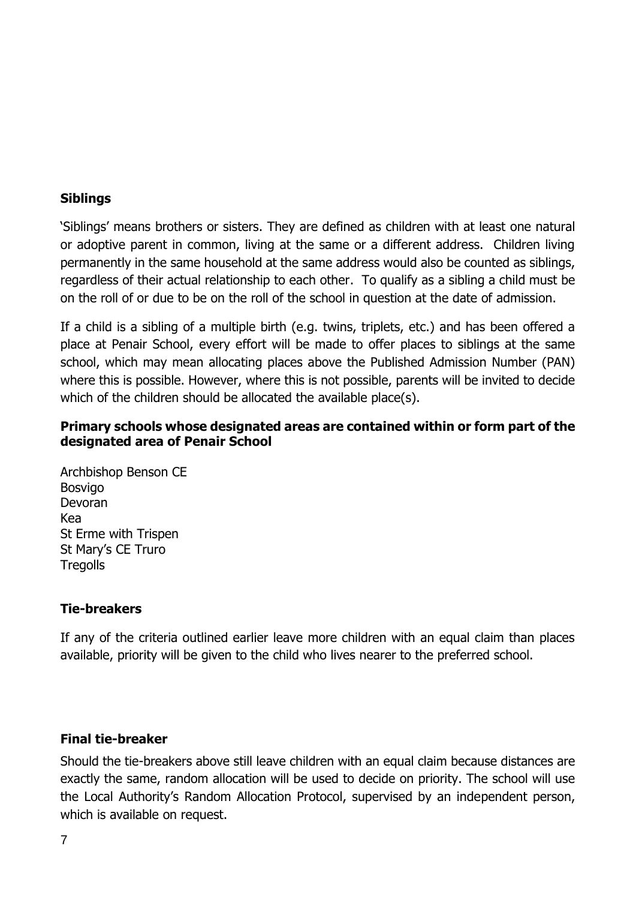#### **Siblings**

'Siblings' means brothers or sisters. They are defined as children with at least one natural or adoptive parent in common, living at the same or a different address. Children living permanently in the same household at the same address would also be counted as siblings, regardless of their actual relationship to each other. To qualify as a sibling a child must be on the roll of or due to be on the roll of the school in question at the date of admission.

If a child is a sibling of a multiple birth (e.g. twins, triplets, etc.) and has been offered a place at Penair School, every effort will be made to offer places to siblings at the same school, which may mean allocating places above the Published Admission Number (PAN) where this is possible. However, where this is not possible, parents will be invited to decide which of the children should be allocated the available place(s).

#### **Primary schools whose designated areas are contained within or form part of the designated area of Penair School**

Archbishop Benson CE Bosvigo Devoran Kea St Erme with Trispen St Mary's CE Truro **Tregolls** 

#### **Tie-breakers**

If any of the criteria outlined earlier leave more children with an equal claim than places available, priority will be given to the child who lives nearer to the preferred school.

#### **Final tie-breaker**

Should the tie-breakers above still leave children with an equal claim because distances are exactly the same, random allocation will be used to decide on priority. The school will use the Local Authority's Random Allocation Protocol, supervised by an independent person, which is available on request.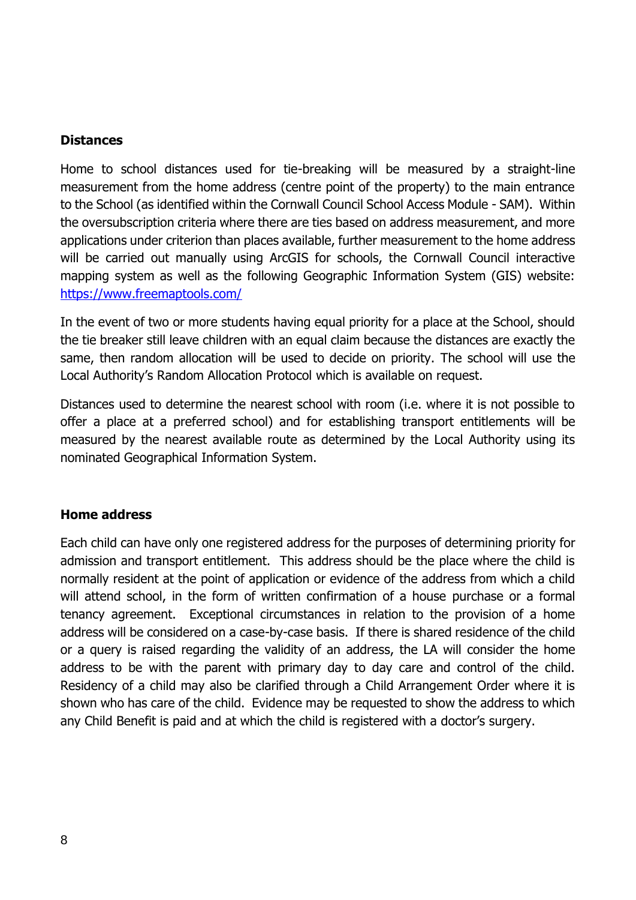#### **Distances**

Home to school distances used for tie-breaking will be measured by a straight-line measurement from the home address (centre point of the property) to the main entrance to the School (as identified within the Cornwall Council School Access Module - SAM). Within the oversubscription criteria where there are ties based on address measurement, and more applications under criterion than places available, further measurement to the home address will be carried out manually using ArcGIS for schools, the Cornwall Council interactive mapping system as well as the following Geographic Information System (GIS) website: <https://www.freemaptools.com/>

In the event of two or more students having equal priority for a place at the School, should the tie breaker still leave children with an equal claim because the distances are exactly the same, then random allocation will be used to decide on priority. The school will use the Local Authority's Random Allocation Protocol which is available on request.

Distances used to determine the nearest school with room (i.e. where it is not possible to offer a place at a preferred school) and for establishing transport entitlements will be measured by the nearest available route as determined by the Local Authority using its nominated Geographical Information System.

#### **Home address**

Each child can have only one registered address for the purposes of determining priority for admission and transport entitlement. This address should be the place where the child is normally resident at the point of application or evidence of the address from which a child will attend school, in the form of written confirmation of a house purchase or a formal tenancy agreement. Exceptional circumstances in relation to the provision of a home address will be considered on a case-by-case basis. If there is shared residence of the child or a query is raised regarding the validity of an address, the LA will consider the home address to be with the parent with primary day to day care and control of the child. Residency of a child may also be clarified through a Child Arrangement Order where it is shown who has care of the child. Evidence may be requested to show the address to which any Child Benefit is paid and at which the child is registered with a doctor's surgery.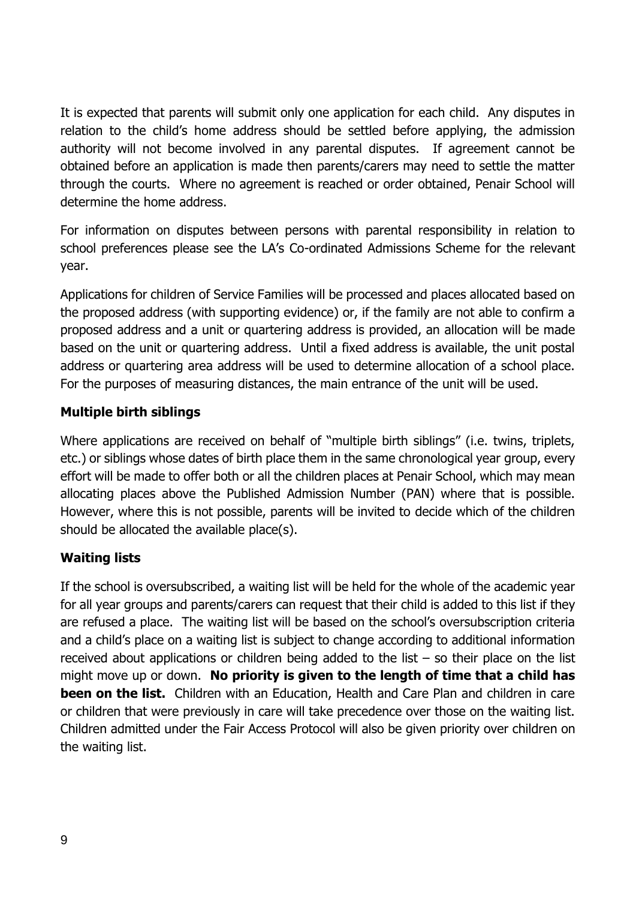It is expected that parents will submit only one application for each child. Any disputes in relation to the child's home address should be settled before applying, the admission authority will not become involved in any parental disputes. If agreement cannot be obtained before an application is made then parents/carers may need to settle the matter through the courts. Where no agreement is reached or order obtained, Penair School will determine the home address.

For information on disputes between persons with parental responsibility in relation to school preferences please see the LA's Co-ordinated Admissions Scheme for the relevant year.

Applications for children of Service Families will be processed and places allocated based on the proposed address (with supporting evidence) or, if the family are not able to confirm a proposed address and a unit or quartering address is provided, an allocation will be made based on the unit or quartering address. Until a fixed address is available, the unit postal address or quartering area address will be used to determine allocation of a school place. For the purposes of measuring distances, the main entrance of the unit will be used.

# **Multiple birth siblings**

Where applications are received on behalf of "multiple birth siblings" (i.e. twins, triplets, etc.) or siblings whose dates of birth place them in the same chronological year group, every effort will be made to offer both or all the children places at Penair School, which may mean allocating places above the Published Admission Number (PAN) where that is possible. However, where this is not possible, parents will be invited to decide which of the children should be allocated the available place(s).

# **Waiting lists**

If the school is oversubscribed, a waiting list will be held for the whole of the academic year for all year groups and parents/carers can request that their child is added to this list if they are refused a place. The waiting list will be based on the school's oversubscription criteria and a child's place on a waiting list is subject to change according to additional information received about applications or children being added to the list – so their place on the list might move up or down. **No priority is given to the length of time that a child has been on the list.** Children with an Education, Health and Care Plan and children in care or children that were previously in care will take precedence over those on the waiting list. Children admitted under the Fair Access Protocol will also be given priority over children on the waiting list.